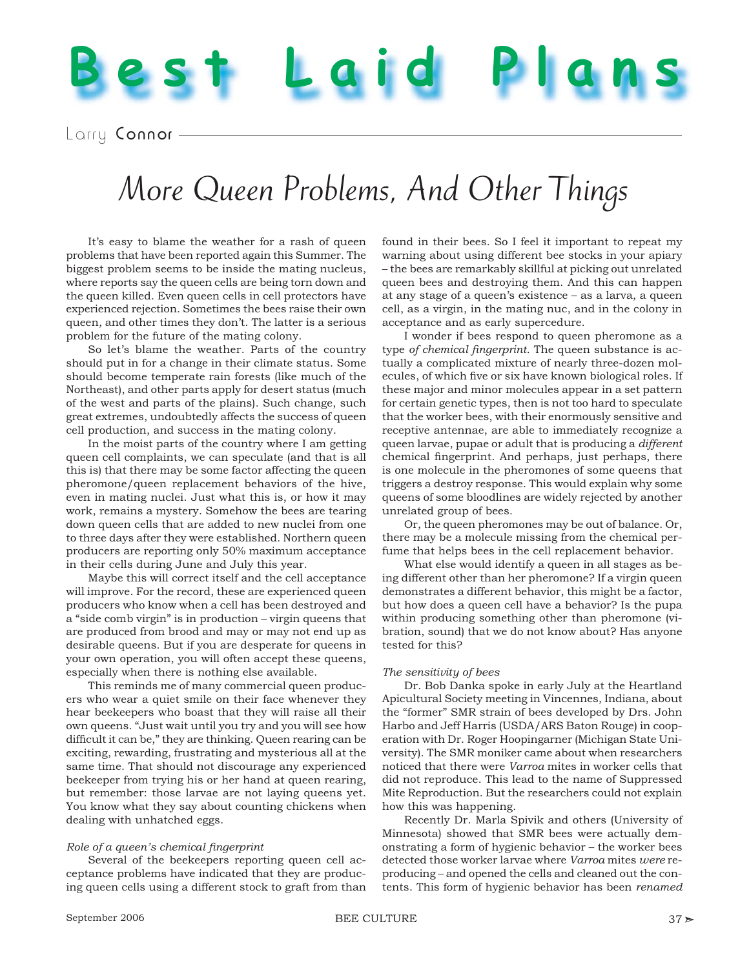## Larry Connor-

# More Queen Problems, And Other Things

It's easy to blame the weather for a rash of queen problems that have been reported again this Summer. The biggest problem seems to be inside the mating nucleus, where reports say the queen cells are being torn down and the queen killed. Even queen cells in cell protectors have experienced rejection. Sometimes the bees raise their own queen, and other times they don't. The latter is a serious problem for the future of the mating colony.

**Best Laid Plans**

So let's blame the weather. Parts of the country should put in for a change in their climate status. Some should become temperate rain forests (like much of the Northeast), and other parts apply for desert status (much of the west and parts of the plains). Such change, such great extremes, undoubtedly affects the success of queen cell production, and success in the mating colony.

In the moist parts of the country where I am getting queen cell complaints, we can speculate (and that is all this is) that there may be some factor affecting the queen pheromone/queen replacement behaviors of the hive, even in mating nuclei. Just what this is, or how it may work, remains a mystery. Somehow the bees are tearing down queen cells that are added to new nuclei from one to three days after they were established. Northern queen producers are reporting only 50% maximum acceptance in their cells during June and July this year.

Maybe this will correct itself and the cell acceptance will improve. For the record, these are experienced queen producers who know when a cell has been destroyed and a "side comb virgin" is in production – virgin queens that are produced from brood and may or may not end up as desirable queens. But if you are desperate for queens in your own operation, you will often accept these queens, especially when there is nothing else available.

This reminds me of many commercial queen producers who wear a quiet smile on their face whenever they hear beekeepers who boast that they will raise all their own queens. "Just wait until you try and you will see how difficult it can be," they are thinking. Queen rearing can be exciting, rewarding, frustrating and mysterious all at the same time. That should not discourage any experienced beekeeper from trying his or her hand at queen rearing, but remember: those larvae are not laying queens yet. You know what they say about counting chickens when dealing with unhatched eggs.

### *Role of a queen's chemical fingerprint*

Several of the beekeepers reporting queen cell acceptance problems have indicated that they are producing queen cells using a different stock to graft from than found in their bees. So I feel it important to repeat my warning about using different bee stocks in your apiary – the bees are remarkably skillful at picking out unrelated queen bees and destroying them. And this can happen at any stage of a queen's existence – as a larva, a queen cell, as a virgin, in the mating nuc, and in the colony in acceptance and as early supercedure.

I wonder if bees respond to queen pheromone as a type of chemical fingerprint. The queen substance is actually a complicated mixture of nearly three-dozen molecules, of which five or six have known biological roles. If these major and minor molecules appear in a set pattern for certain genetic types, then is not too hard to speculate that the worker bees, with their enormously sensitive and receptive antennae, are able to immediately recognize a queen larvae, pupae or adult that is producing a *different*  chemical fingerprint. And perhaps, just perhaps, there is one molecule in the pheromones of some queens that triggers a destroy response. This would explain why some queens of some bloodlines are widely rejected by another unrelated group of bees.

Or, the queen pheromones may be out of balance. Or, there may be a molecule missing from the chemical perfume that helps bees in the cell replacement behavior.

What else would identify a queen in all stages as being different other than her pheromone? If a virgin queen demonstrates a different behavior, this might be a factor, but how does a queen cell have a behavior? Is the pupa within producing something other than pheromone (vibration, sound) that we do not know about? Has anyone tested for this?

#### *The sensitivity of bees*

Dr. Bob Danka spoke in early July at the Heartland Apicultural Society meeting in Vincennes, Indiana, about the "former" SMR strain of bees developed by Drs. John Harbo and Jeff Harris (USDA/ARS Baton Rouge) in cooperation with Dr. Roger Hoopingarner (Michigan State University). The SMR moniker came about when researchers noticed that there were *Varroa* mites in worker cells that did not reproduce. This lead to the name of Suppressed Mite Reproduction. But the researchers could not explain how this was happening.

Recently Dr. Marla Spivik and others (University of Minnesota) showed that SMR bees were actually demonstrating a form of hygienic behavior – the worker bees detected those worker larvae where *Varroa* mites *were* reproducing – and opened the cells and cleaned out the contents. This form of hygienic behavior has been *renamed*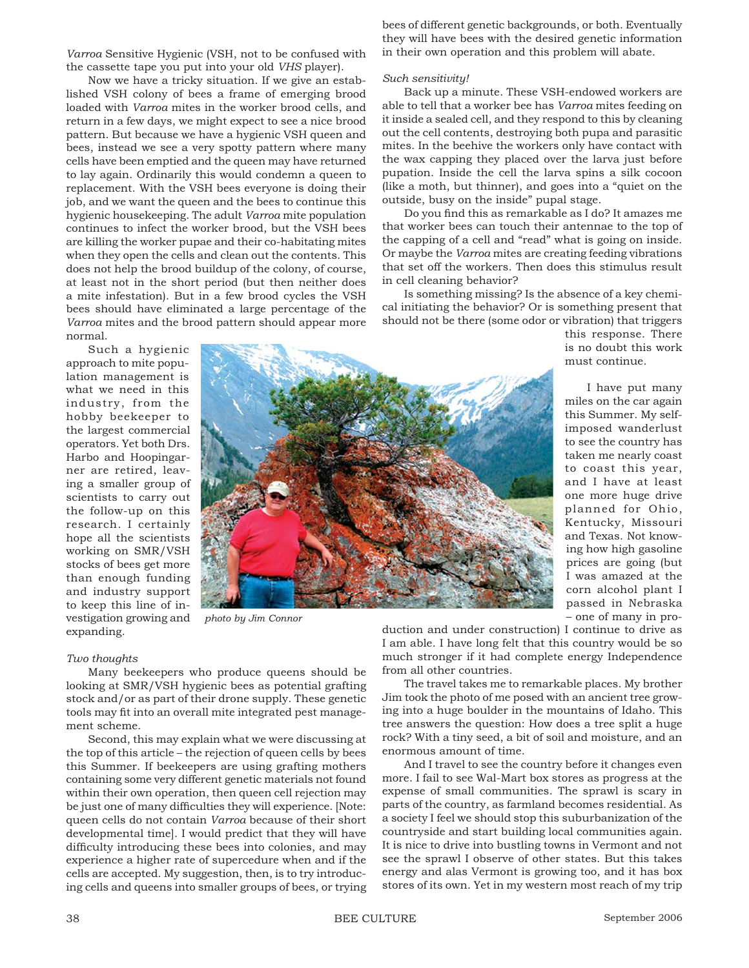*Varroa* Sensitive Hygienic (VSH, not to be confused with the cassette tape you put into your old *VHS* player).

Now we have a tricky situation. If we give an established VSH colony of bees a frame of emerging brood loaded with *Varroa* mites in the worker brood cells, and return in a few days, we might expect to see a nice brood pattern. But because we have a hygienic VSH queen and bees, instead we see a very spotty pattern where many cells have been emptied and the queen may have returned to lay again. Ordinarily this would condemn a queen to replacement. With the VSH bees everyone is doing their job, and we want the queen and the bees to continue this hygienic housekeeping. The adult *Varroa* mite population continues to infect the worker brood, but the VSH bees are killing the worker pupae and their co-habitating mites when they open the cells and clean out the contents. This does not help the brood buildup of the colony, of course, at least not in the short period (but then neither does a mite infestation). But in a few brood cycles the VSH bees should have eliminated a large percentage of the *Varroa* mites and the brood pattern should appear more normal.

Such a hygienic approach to mite population management is what we need in this industry, from the hobby beekeeper to the largest commercial operators. Yet both Drs. Harbo and Hoopingarner are retired, leaving a smaller group of scientists to carry out the follow-up on this research. I certainly hope all the scientists working on SMR/VSH stocks of bees get more than enough funding and industry support to keep this line of investigation growing and expanding.



*photo by Jim Connor*

#### *Two thoughts*

Many beekeepers who produce queens should be looking at SMR/VSH hygienic bees as potential grafting stock and/or as part of their drone supply. These genetic tools may fit into an overall mite integrated pest management scheme.

Second, this may explain what we were discussing at the top of this article – the rejection of queen cells by bees this Summer. If beekeepers are using grafting mothers containing some very different genetic materials not found within their own operation, then queen cell rejection may be just one of many difficulties they will experience. [Note: queen cells do not contain *Varroa* because of their short developmental time]. I would predict that they will have difficulty introducing these bees into colonies, and may experience a higher rate of supercedure when and if the cells are accepted. My suggestion, then, is to try introducing cells and queens into smaller groups of bees, or trying bees of different genetic backgrounds, or both. Eventually they will have bees with the desired genetic information in their own operation and this problem will abate.

#### *Such sensitivity!*

Back up a minute. These VSH-endowed workers are able to tell that a worker bee has *Varroa* mites feeding on it inside a sealed cell, and they respond to this by cleaning out the cell contents, destroying both pupa and parasitic mites. In the beehive the workers only have contact with the wax capping they placed over the larva just before pupation. Inside the cell the larva spins a silk cocoon (like a moth, but thinner), and goes into a "quiet on the outside, busy on the inside" pupal stage.

Do you find this as remarkable as I do? It amazes me that worker bees can touch their antennae to the top of the capping of a cell and "read" what is going on inside. Or maybe the *Varroa* mites are creating feeding vibrations that set off the workers. Then does this stimulus result in cell cleaning behavior?

Is something missing? Is the absence of a key chemical initiating the behavior? Or is something present that should not be there (some odor or vibration) that triggers

> this response. There is no doubt this work must continue.

I have put many miles on the car again this Summer. My selfimposed wanderlust to see the country has taken me nearly coast to coast this year, and I have at least one more huge drive planned for Ohio, Kentucky, Missouri and Texas. Not knowing how high gasoline prices are going (but I was amazed at the corn alcohol plant I passed in Nebraska – one of many in pro-

duction and under construction) I continue to drive as I am able. I have long felt that this country would be so much stronger if it had complete energy Independence from all other countries.

The travel takes me to remarkable places. My brother Jim took the photo of me posed with an ancient tree growing into a huge boulder in the mountains of Idaho. This tree answers the question: How does a tree split a huge rock? With a tiny seed, a bit of soil and moisture, and an enormous amount of time.

And I travel to see the country before it changes even more. I fail to see Wal-Mart box stores as progress at the expense of small communities. The sprawl is scary in parts of the country, as farmland becomes residential. As a society I feel we should stop this suburbanization of the countryside and start building local communities again. It is nice to drive into bustling towns in Vermont and not see the sprawl I observe of other states. But this takes energy and alas Vermont is growing too, and it has box stores of its own. Yet in my western most reach of my trip